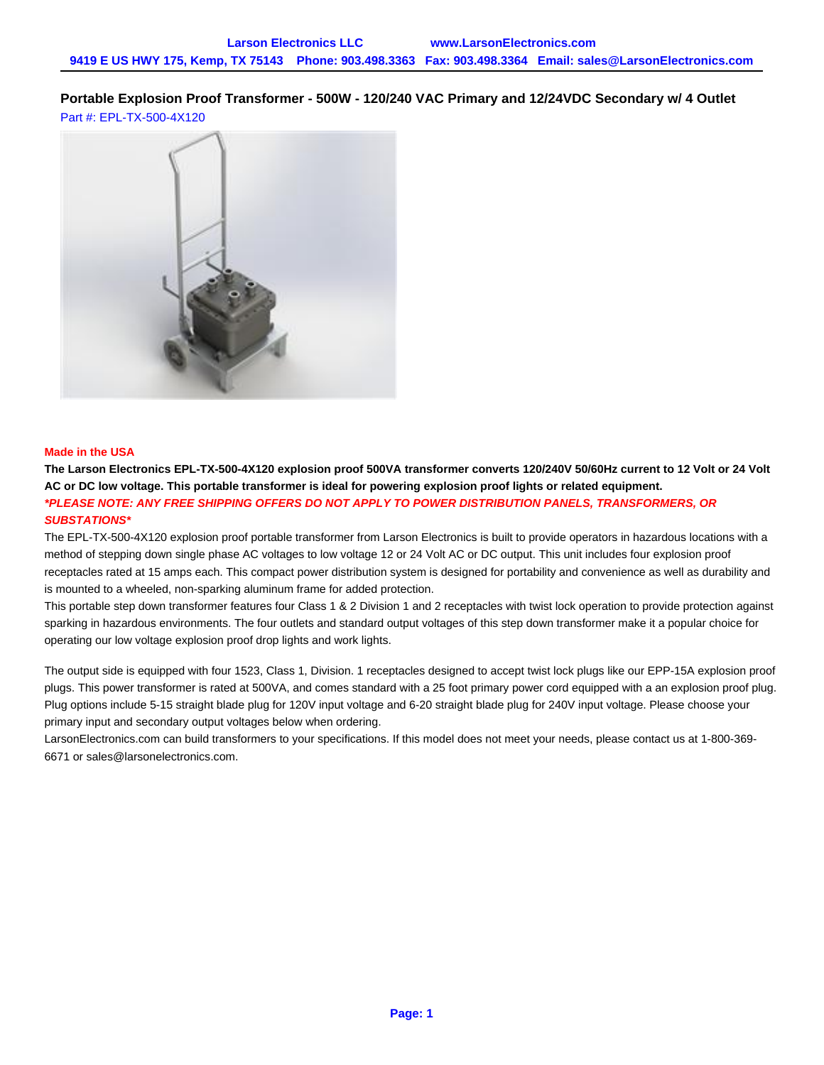# **Portable Explosion Proof Transformer - 500W - 120/240 VAC Primary and 12/24VDC Secondary w/ 4 Outlet** Part #: EPL-TX-500-4X120



## **Made in the USA**

**The Larson Electronics EPL-TX-500-4X120 explosion proof 500VA transformer converts 120/240V 50/60Hz current to 12 Volt or 24 Volt AC or DC low voltage. This portable transformer is ideal for powering explosion proof lights or related equipment. \*PLEASE NOTE: ANY FREE SHIPPING OFFERS DO NOT APPLY TO POWER DISTRIBUTION PANELS, TRANSFORMERS, OR SUBSTATIONS\***

The EPL-TX-500-4X120 explosion proof portable transformer from Larson Electronics is built to provide operators in hazardous locations with a method of stepping down single phase AC voltages to low voltage 12 or 24 Volt AC or DC output. This unit includes four explosion proof receptacles rated at 15 amps each. This compact power distribution system is designed for portability and convenience as well as durability and is mounted to a wheeled, non-sparking aluminum frame for added protection.

This portable step down transformer features four Class 1 & 2 Division 1 and 2 receptacles with twist lock operation to provide protection against sparking in hazardous environments. The four outlets and standard output voltages of this step down transformer make it a popular choice for operating our low voltage explosion proof drop lights and work lights.

The output side is equipped with four 1523, Class 1, Division. 1 receptacles designed to accept twist lock plugs like our EPP-15A explosion proof plugs. This power transformer is rated at 500VA, and comes standard with a 25 foot primary power cord equipped with a an explosion proof plug. Plug options include 5-15 straight blade plug for 120V input voltage and 6-20 straight blade plug for 240V input voltage. Please choose your primary input and secondary output voltages below when ordering.

LarsonElectronics.com can build transformers to your specifications. If this model does not meet your needs, please contact us at 1-800-369- 6671 or [sales@larsonelectronics.com.](mailto:sales@larsonelectronics.com)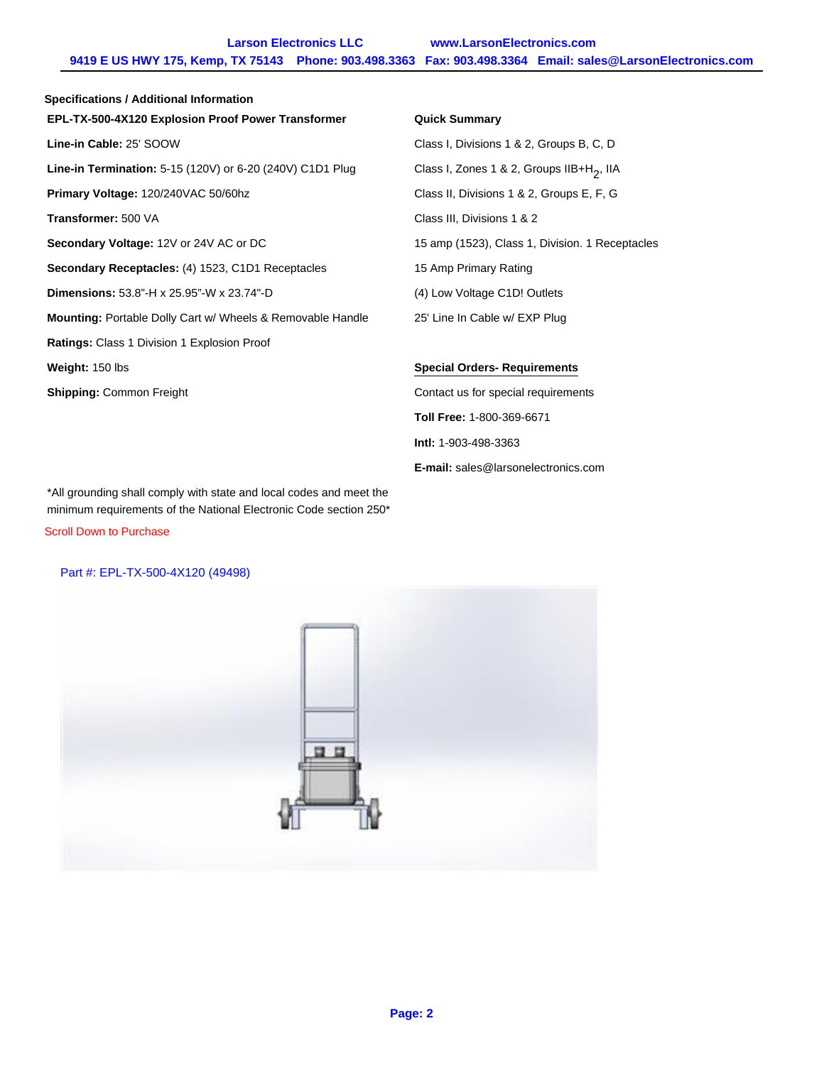**Larson Electronics LLC www.LarsonElectronics.com 9419 E US HWY 175, Kemp, TX 75143 Phone: 903.498.3363 Fax: 903.498.3364 Email: sales@LarsonElectronics.com**

| <b>Specifications / Additional Information</b>                    |                                                       |
|-------------------------------------------------------------------|-------------------------------------------------------|
| EPL-TX-500-4X120 Explosion Proof Power Transformer                | <b>Quick Summary</b>                                  |
| Line-in Cable: 25' SOOW                                           | Class I, Divisions 1 & 2, Groups B, C, D              |
| Line-in Termination: 5-15 (120V) or 6-20 (240V) C1D1 Plug         | Class I, Zones 1 & 2, Groups IIB+H <sub>2</sub> , IIA |
| Primary Voltage: 120/240VAC 50/60hz                               | Class II, Divisions 1 & 2, Groups E, F, G             |
| Transformer: 500 VA                                               | Class III, Divisions 1 & 2                            |
| Secondary Voltage: 12V or 24V AC or DC                            | 15 amp (1523), Class 1, Division. 1 Rece              |
| Secondary Receptacles: (4) 1523, C1D1 Receptacles                 | 15 Amp Primary Rating                                 |
| <b>Dimensions:</b> 53.8"-H x 25.95"-W x 23.74"-D                  | (4) Low Voltage C1D! Outlets                          |
| <b>Mounting:</b> Portable Dolly Cart w/ Wheels & Removable Handle | 25' Line In Cable w/ EXP Plug                         |
| Ratings: Class 1 Division 1 Explosion Proof                       |                                                       |
| Weight: 150 lbs                                                   | <b>Special Orders-Requirements</b>                    |
| <b>Shipping: Common Freight</b>                                   | Contact us for special requirements                   |
|                                                                   | <b>Toll Free: 1-800-369-6671</b>                      |

#### **ED-EX-Summary**

**Lass I, Divisions 1 & 2, Groups B, C, D Primary 1308** 1208 September 1308 2, Groups E, F, G **Transformer:** 500 VA Class III, Divisions 1 & 2 amp (1523), Class 1, Division. 1 Receptacles **Amp Primary Rating** Low Voltage C1D! Outlets Line In Cable w/ EXP Plug

### **Weight:** 150 lbs **Special Orders- Requirements**

ntact us for special requirements **Toll Free:** 1-800-369-6671 **Intl:** 1-903-498-3363 **E-mail:** [sales@larsonelectronics.com](mailto:sales@larsonelectronics.com)

\*All grounding shall comply with state and local codes and meet the minimum requirements of the National Electronic Code section 250\*

Scroll Down to Purchase

### Part #: EPL-TX-500-4X120 (49498)